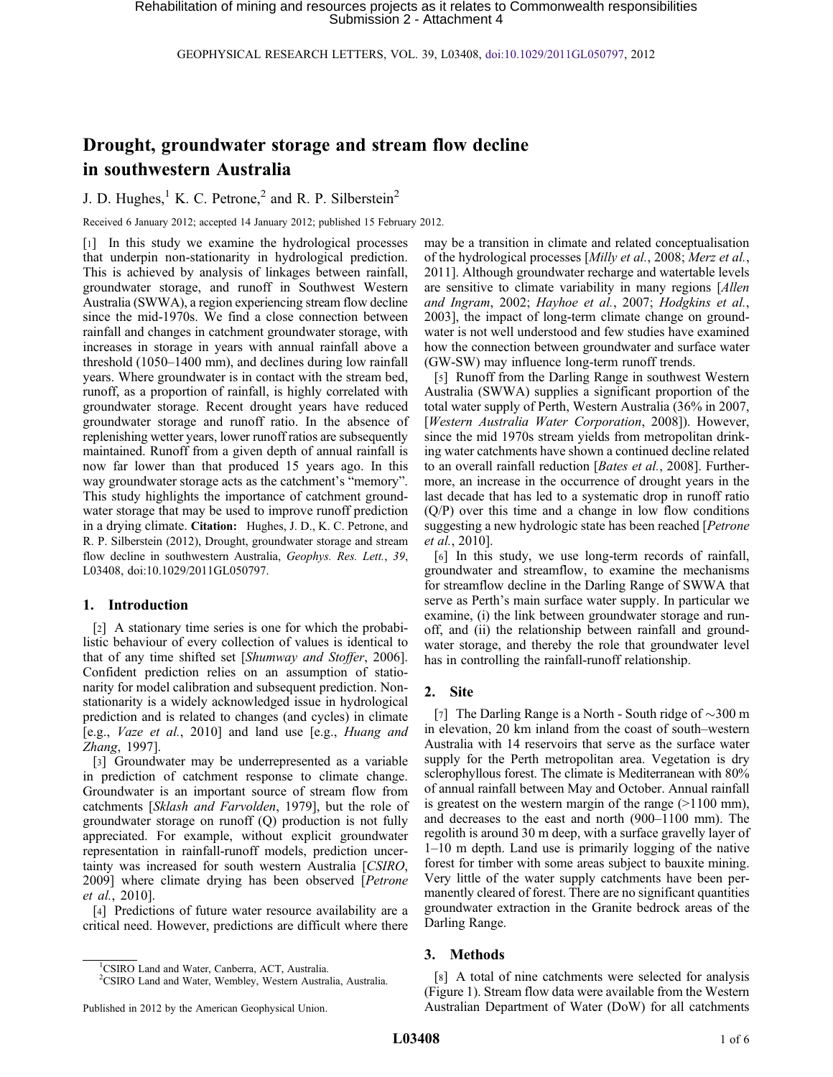GEOPHYSICAL RESEARCH LETTERS, VOL. 39, L03408, [doi:10.1029/2011GL050797,](http://dx.doi.org/10.1029/2011GL050797) 2012

# Drought, groundwater storage and stream flow decline in southwestern Australia

J. D. Hughes, $<sup>1</sup>$  K. C. Petrone, $<sup>2</sup>$  and R. P. Silberstein<sup>2</sup></sup></sup>

Received 6 January 2012; accepted 14 January 2012; published 15 February 2012.

[1] In this study we examine the hydrological processes that underpin non-stationarity in hydrological prediction. This is achieved by analysis of linkages between rainfall, groundwater storage, and runoff in Southwest Western Australia (SWWA), a region experiencing stream flow decline since the mid-1970s. We find a close connection between rainfall and changes in catchment groundwater storage, with increases in storage in years with annual rainfall above a threshold (1050–1400 mm), and declines during low rainfall years. Where groundwater is in contact with the stream bed, runoff, as a proportion of rainfall, is highly correlated with groundwater storage. Recent drought years have reduced groundwater storage and runoff ratio. In the absence of replenishing wetter years, lower runoff ratios are subsequently maintained. Runoff from a given depth of annual rainfall is now far lower than that produced 15 years ago. In this way groundwater storage acts as the catchment's "memory". This study highlights the importance of catchment groundwater storage that may be used to improve runoff prediction in a drying climate. Citation: Hughes, J. D., K. C. Petrone, and R. P. Silberstein (2012), Drought, groundwater storage and stream flow decline in southwestern Australia, Geophys. Res. Lett., 39, L03408, doi:10.1029/2011GL050797.

### 1. Introduction

[2] A stationary time series is one for which the probabilistic behaviour of every collection of values is identical to that of any time shifted set [Shumway and Stoffer, 2006]. Confident prediction relies on an assumption of stationarity for model calibration and subsequent prediction. Nonstationarity is a widely acknowledged issue in hydrological prediction and is related to changes (and cycles) in climate [e.g., Vaze et al., 2010] and land use [e.g., Huang and Zhang, 1997].

[3] Groundwater may be underrepresented as a variable in prediction of catchment response to climate change. Groundwater is an important source of stream flow from catchments [Sklash and Farvolden, 1979], but the role of groundwater storage on runoff (Q) production is not fully appreciated. For example, without explicit groundwater representation in rainfall-runoff models, prediction uncertainty was increased for south western Australia [CSIRO, 2009] where climate drying has been observed [Petrone et al., 2010].

[4] Predictions of future water resource availability are a critical need. However, predictions are difficult where there may be a transition in climate and related conceptualisation of the hydrological processes [Milly et al., 2008; Merz et al., 2011]. Although groundwater recharge and watertable levels are sensitive to climate variability in many regions [Allen and Ingram, 2002; Hayhoe et al., 2007; Hodgkins et al., 2003], the impact of long-term climate change on groundwater is not well understood and few studies have examined how the connection between groundwater and surface water (GW-SW) may influence long-term runoff trends.

[5] Runoff from the Darling Range in southwest Western Australia (SWWA) supplies a significant proportion of the total water supply of Perth, Western Australia (36% in 2007, [Western Australia Water Corporation, 2008]). However, since the mid 1970s stream yields from metropolitan drinking water catchments have shown a continued decline related to an overall rainfall reduction [Bates et al., 2008]. Furthermore, an increase in the occurrence of drought years in the last decade that has led to a systematic drop in runoff ratio (Q/P) over this time and a change in low flow conditions suggesting a new hydrologic state has been reached [Petrone et al., 2010].

[6] In this study, we use long-term records of rainfall, groundwater and streamflow, to examine the mechanisms for streamflow decline in the Darling Range of SWWA that serve as Perth's main surface water supply. In particular we examine, (i) the link between groundwater storage and runoff, and (ii) the relationship between rainfall and groundwater storage, and thereby the role that groundwater level has in controlling the rainfall-runoff relationship.

#### 2. Site

[7] The Darling Range is a North - South ridge of  $\sim$ 300 m in elevation, 20 km inland from the coast of south–western Australia with 14 reservoirs that serve as the surface water supply for the Perth metropolitan area. Vegetation is dry sclerophyllous forest. The climate is Mediterranean with 80% of annual rainfall between May and October. Annual rainfall is greatest on the western margin of the range  $(>1100 \text{ mm})$ , and decreases to the east and north (900–1100 mm). The regolith is around 30 m deep, with a surface gravelly layer of 1–10 m depth. Land use is primarily logging of the native forest for timber with some areas subject to bauxite mining. Very little of the water supply catchments have been permanently cleared of forest. There are no significant quantities groundwater extraction in the Granite bedrock areas of the Darling Range.

#### 3. Methods

[8] A total of nine catchments were selected for analysis (Figure 1). Stream flow data were available from the Western Australian Department of Water (DoW) for all catchments

<sup>1</sup> CSIRO Land and Water, Canberra, ACT, Australia.

<sup>&</sup>lt;sup>2</sup>CSIRO Land and Water, Wembley, Western Australia, Australia.

Published in 2012 by the American Geophysical Union.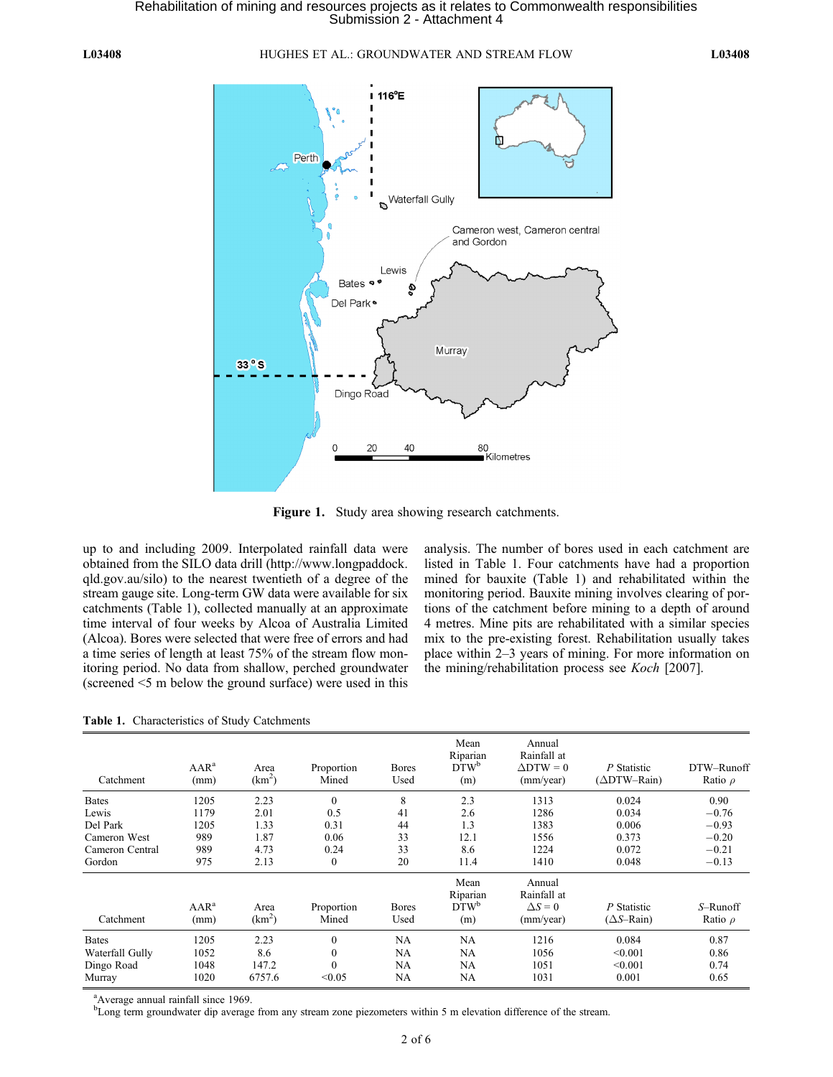#### L03408 HUGHES ET AL.: GROUNDWATER AND STREAM FLOW L03408



Figure 1. Study area showing research catchments.

up to and including 2009. Interpolated rainfall data were obtained from the SILO data drill (http://www.longpaddock. qld.gov.au/silo) to the nearest twentieth of a degree of the stream gauge site. Long-term GW data were available for six catchments (Table 1), collected manually at an approximate time interval of four weeks by Alcoa of Australia Limited (Alcoa). Bores were selected that were free of errors and had a time series of length at least 75% of the stream flow monitoring period. No data from shallow, perched groundwater (screened <5 m below the ground surface) were used in this

analysis. The number of bores used in each catchment are listed in Table 1. Four catchments have had a proportion mined for bauxite (Table 1) and rehabilitated within the monitoring period. Bauxite mining involves clearing of portions of the catchment before mining to a depth of around 4 metres. Mine pits are rehabilitated with a similar species mix to the pre-existing forest. Rehabilitation usually takes place within 2–3 years of mining. For more information on the mining/rehabilitation process see Koch [2007].

| Catchment       | $AAR^a$<br>(mm) | Area<br>$(km^2)$           | Proportion<br>Mined | <b>Bores</b><br>Used | Mean<br>Riparian<br>DTW <sup>b</sup><br>(m) | Annual<br>Rainfall at<br>$\Delta$ DTW = 0<br>(mm/year) | P Statistic<br>(∆DTW–Rain)                | DTW-Runoff<br>Ratio $\rho$ |
|-----------------|-----------------|----------------------------|---------------------|----------------------|---------------------------------------------|--------------------------------------------------------|-------------------------------------------|----------------------------|
| <b>Bates</b>    | 1205            | 2.23                       | $\mathbf{0}$        | 8                    | 2.3                                         | 1313                                                   | 0.024                                     | 0.90                       |
| Lewis           | 1179            | 2.01                       | 0.5                 | 41                   | 2.6                                         | 1286                                                   | 0.034                                     | $-0.76$                    |
| Del Park        | 1205            | 1.33                       | 0.31                | 44                   | 1.3                                         | 1383                                                   | 0.006                                     | $-0.93$                    |
| Cameron West    | 989             | 1.87                       | 0.06                | 33                   | 12.1                                        | 1556                                                   | 0.373                                     | $-0.20$                    |
| Cameron Central | 989             | 4.73                       | 0.24                | 33                   | 8.6                                         | 1224                                                   | 0.072                                     | $-0.21$                    |
| Gordon          | 975             | 2.13                       | $\mathbf{0}$        | 20                   | 11.4                                        | 1410                                                   | 0.048                                     | $-0.13$                    |
| Catchment       | $AAR^a$<br>(mm) | Area<br>(km <sup>2</sup> ) | Proportion<br>Mined | <b>Bores</b><br>Used | Mean<br>Riparian<br>$DTW^b$<br>(m)          | Annual<br>Rainfall at<br>$\Delta S = 0$<br>(mm/year)   | P Statistic<br>$(\Delta S - \text{Rain})$ | S-Runoff<br>Ratio $\rho$   |
| <b>Bates</b>    | 1205            | 2.23                       | $\boldsymbol{0}$    | NA                   | <b>NA</b>                                   | 1216                                                   | 0.084                                     | 0.87                       |
| Waterfall Gully | 1052            | 8.6                        | $\mathbf{0}$        | NA                   | NA                                          | 1056                                                   | < 0.001                                   | 0.86                       |
| Dingo Road      | 1048            | 147.2                      | $\mathbf{0}$        | NA                   | NA                                          | 1051                                                   | < 0.001                                   | 0.74                       |
| Murray          | 1020            | 6757.6                     | < 0.05              | <b>NA</b>            | NA                                          | 1031                                                   | 0.001                                     | 0.65                       |

Table 1. Characteristics of Study Catchments

<sup>a</sup>Average annual rainfall since 1969.

<sup>b</sup>Long term groundwater dip average from any stream zone piezometers within 5 m elevation difference of the stream.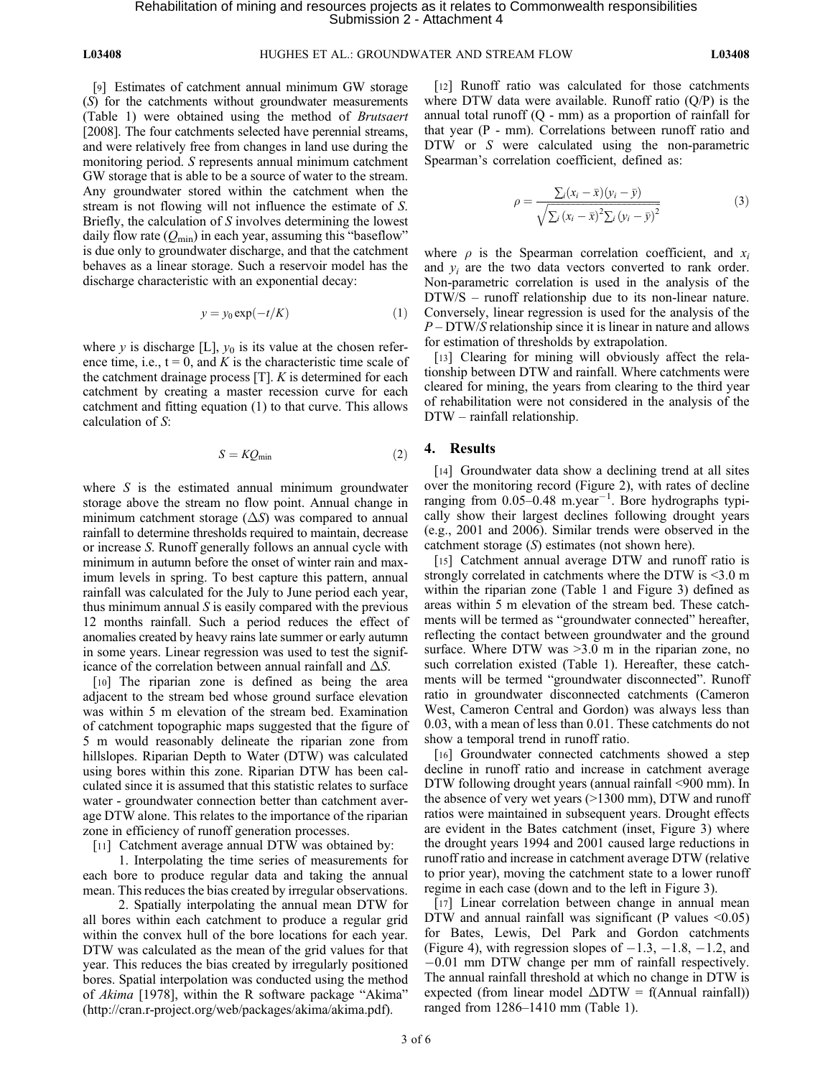[9] Estimates of catchment annual minimum GW storage (S) for the catchments without groundwater measurements (Table 1) were obtained using the method of Brutsaert [2008]. The four catchments selected have perennial streams, and were relatively free from changes in land use during the monitoring period. S represents annual minimum catchment GW storage that is able to be a source of water to the stream. Any groundwater stored within the catchment when the stream is not flowing will not influence the estimate of S. Briefly, the calculation of S involves determining the lowest daily flow rate  $(Q_{\text{min}})$  in each year, assuming this "baseflow" is due only to groundwater discharge, and that the catchment behaves as a linear storage. Such a reservoir model has the discharge characteristic with an exponential decay:

$$
y = y_0 \exp(-t/K) \tag{1}
$$

where y is discharge [L],  $y_0$  is its value at the chosen reference time, i.e.,  $t = 0$ , and K is the characteristic time scale of the catchment drainage process [T]. K is determined for each catchment by creating a master recession curve for each catchment and fitting equation (1) to that curve. This allows calculation of S:

$$
S = KQ_{\min} \tag{2}
$$

where  $S$  is the estimated annual minimum groundwater storage above the stream no flow point. Annual change in minimum catchment storage  $(\Delta S)$  was compared to annual rainfall to determine thresholds required to maintain, decrease or increase S. Runoff generally follows an annual cycle with minimum in autumn before the onset of winter rain and maximum levels in spring. To best capture this pattern, annual rainfall was calculated for the July to June period each year, thus minimum annual  $S$  is easily compared with the previous 12 months rainfall. Such a period reduces the effect of anomalies created by heavy rains late summer or early autumn in some years. Linear regression was used to test the significance of the correlation between annual rainfall and  $\Delta S$ .

[10] The riparian zone is defined as being the area adjacent to the stream bed whose ground surface elevation was within 5 m elevation of the stream bed. Examination of catchment topographic maps suggested that the figure of 5 m would reasonably delineate the riparian zone from hillslopes. Riparian Depth to Water (DTW) was calculated using bores within this zone. Riparian DTW has been calculated since it is assumed that this statistic relates to surface water - groundwater connection better than catchment average DTW alone. This relates to the importance of the riparian zone in efficiency of runoff generation processes.

[11] Catchment average annual DTW was obtained by:

1. Interpolating the time series of measurements for each bore to produce regular data and taking the annual mean. This reduces the bias created by irregular observations.

2. Spatially interpolating the annual mean DTW for all bores within each catchment to produce a regular grid within the convex hull of the bore locations for each year. DTW was calculated as the mean of the grid values for that year. This reduces the bias created by irregularly positioned bores. Spatial interpolation was conducted using the method of Akima [1978], within the R software package "Akima" (http://cran.r-project.org/web/packages/akima/akima.pdf).

[12] Runoff ratio was calculated for those catchments where DTW data were available. Runoff ratio  $(Q/P)$  is the annual total runoff (Q - mm) as a proportion of rainfall for that year (P - mm). Correlations between runoff ratio and DTW or S were calculated using the non-parametric Spearman's correlation coefficient, defined as:

$$
\rho = \frac{\sum_{i}(x_{i} - \bar{x})(y_{i} - \bar{y})}{\sqrt{\sum_{i}(x_{i} - \bar{x})^{2}\sum_{i}(y_{i} - \bar{y})^{2}}}
$$
(3)

where  $\rho$  is the Spearman correlation coefficient, and  $x_i$ and  $y_i$  are the two data vectors converted to rank order. Non-parametric correlation is used in the analysis of the DTW/S – runoff relationship due to its non-linear nature. Conversely, linear regression is used for the analysis of the  $P - DTW/S$  relationship since it is linear in nature and allows for estimation of thresholds by extrapolation.

[13] Clearing for mining will obviously affect the relationship between DTW and rainfall. Where catchments were cleared for mining, the years from clearing to the third year of rehabilitation were not considered in the analysis of the DTW – rainfall relationship.

#### 4. Results

[14] Groundwater data show a declining trend at all sites over the monitoring record (Figure 2), with rates of decline ranging from  $0.05-0.48$  m.year<sup>-1</sup>. Bore hydrographs typically show their largest declines following drought years (e.g., 2001 and 2006). Similar trends were observed in the catchment storage (S) estimates (not shown here).

[15] Catchment annual average DTW and runoff ratio is strongly correlated in catchments where the DTW is <3.0 m within the riparian zone (Table 1 and Figure 3) defined as areas within 5 m elevation of the stream bed. These catchments will be termed as "groundwater connected" hereafter, reflecting the contact between groundwater and the ground surface. Where DTW was  $>3.0$  m in the riparian zone, no such correlation existed (Table 1). Hereafter, these catchments will be termed "groundwater disconnected". Runoff ratio in groundwater disconnected catchments (Cameron West, Cameron Central and Gordon) was always less than 0.03, with a mean of less than 0.01. These catchments do not show a temporal trend in runoff ratio.

[16] Groundwater connected catchments showed a step decline in runoff ratio and increase in catchment average DTW following drought years (annual rainfall <900 mm). In the absence of very wet years (>1300 mm), DTW and runoff ratios were maintained in subsequent years. Drought effects are evident in the Bates catchment (inset, Figure 3) where the drought years 1994 and 2001 caused large reductions in runoff ratio and increase in catchment average DTW (relative to prior year), moving the catchment state to a lower runoff regime in each case (down and to the left in Figure 3).

[17] Linear correlation between change in annual mean DTW and annual rainfall was significant (P values  $\leq 0.05$ ) for Bates, Lewis, Del Park and Gordon catchments (Figure 4), with regression slopes of  $-1.3, -1.8, -1.2$ , and -0.01 mm DTW change per mm of rainfall respectively. The annual rainfall threshold at which no change in DTW is expected (from linear model  $\Delta DTW = f(Anquad'$  rainfall)) ranged from 1286–1410 mm (Table 1).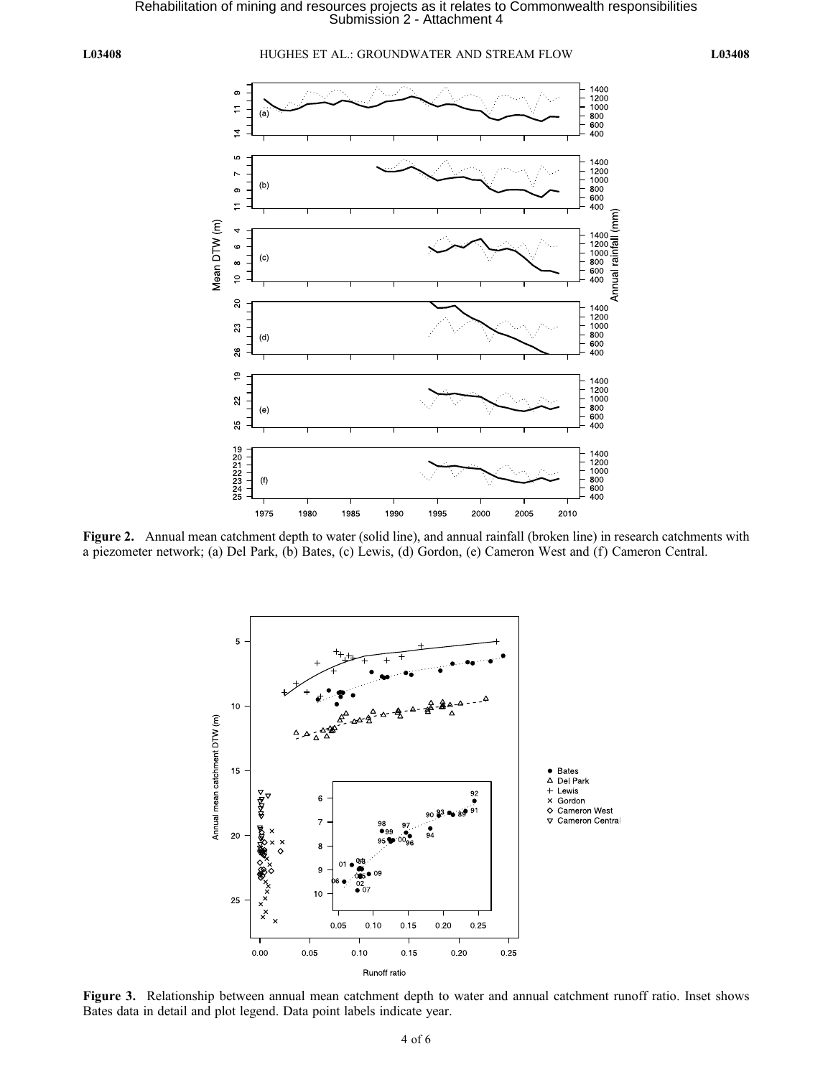Rehabilitation of mining and resources projects as it relates to Commonwealth responsibilities<br>Submission 2 - Attachment 4

L03408 HUGHES ET AL.: GROUNDWATER AND STREAM FLOW L03408



Figure 2. Annual mean catchment depth to water (solid line), and annual rainfall (broken line) in research catchments with a piezometer network; (a) Del Park, (b) Bates, (c) Lewis, (d) Gordon, (e) Cameron West and (f) Cameron Central.



Figure 3. Relationship between annual mean catchment depth to water and annual catchment runoff ratio. Inset shows Bates data in detail and plot legend. Data point labels indicate year.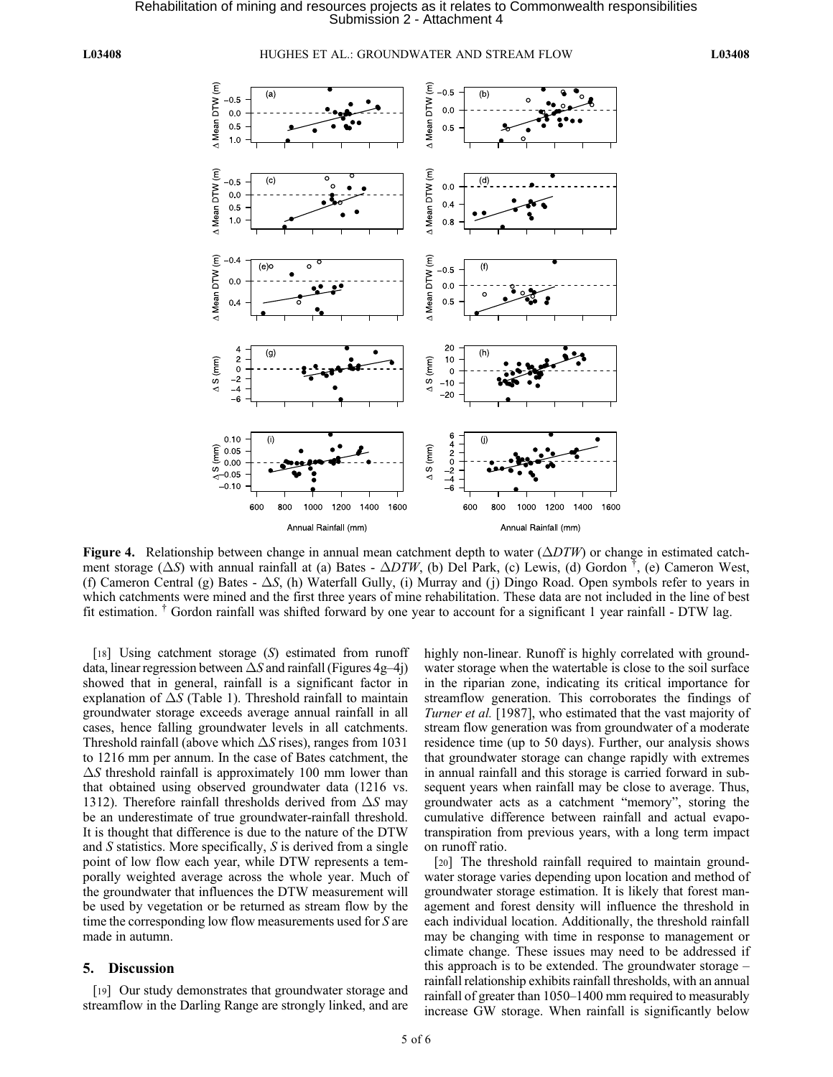L03408 HUGHES ET AL.: GROUNDWATER AND STREAM FLOW L03408



Figure 4. Relationship between change in annual mean catchment depth to water  $(\Delta DTW)$  or change in estimated catchment storage ( $\Delta S$ ) with annual rainfall at (a) Bates -  $\Delta DTW$ , (b) Del Park, (c) Lewis, (d) Gordon <sup>†</sup>, (e) Cameron West, (f) Cameron Central (g) Bates  $- \Delta S$ , (h) Waterfall Gully, (i) Murray and (j) Dingo Road. Open symbols refer to years in which catchments were mined and the first three years of mine rehabilitation. These data are not included in the line of best fit estimation. † Gordon rainfall was shifted forward by one year to account for a significant 1 year rainfall - DTW lag.

[18] Using catchment storage  $(S)$  estimated from runoff data, linear regression between  $\Delta S$  and rainfall (Figures 4g–4j) showed that in general, rainfall is a significant factor in explanation of  $\Delta S$  (Table 1). Threshold rainfall to maintain groundwater storage exceeds average annual rainfall in all cases, hence falling groundwater levels in all catchments. Threshold rainfall (above which  $\Delta S$  rises), ranges from 1031 to 1216 mm per annum. In the case of Bates catchment, the  $\Delta S$  threshold rainfall is approximately 100 mm lower than that obtained using observed groundwater data (1216 vs. 1312). Therefore rainfall thresholds derived from  $\Delta S$  may be an underestimate of true groundwater-rainfall threshold. It is thought that difference is due to the nature of the DTW and S statistics. More specifically, S is derived from a single point of low flow each year, while DTW represents a temporally weighted average across the whole year. Much of the groundwater that influences the DTW measurement will be used by vegetation or be returned as stream flow by the time the corresponding low flow measurements used for S are made in autumn.

#### 5. Discussion

[19] Our study demonstrates that groundwater storage and streamflow in the Darling Range are strongly linked, and are highly non-linear. Runoff is highly correlated with groundwater storage when the watertable is close to the soil surface in the riparian zone, indicating its critical importance for streamflow generation. This corroborates the findings of Turner et al. [1987], who estimated that the vast majority of stream flow generation was from groundwater of a moderate residence time (up to 50 days). Further, our analysis shows that groundwater storage can change rapidly with extremes in annual rainfall and this storage is carried forward in subsequent years when rainfall may be close to average. Thus, groundwater acts as a catchment "memory", storing the cumulative difference between rainfall and actual evapotranspiration from previous years, with a long term impact on runoff ratio.

[20] The threshold rainfall required to maintain groundwater storage varies depending upon location and method of groundwater storage estimation. It is likely that forest management and forest density will influence the threshold in each individual location. Additionally, the threshold rainfall may be changing with time in response to management or climate change. These issues may need to be addressed if this approach is to be extended. The groundwater storage – rainfall relationship exhibits rainfall thresholds, with an annual rainfall of greater than 1050–1400 mm required to measurably increase GW storage. When rainfall is significantly below